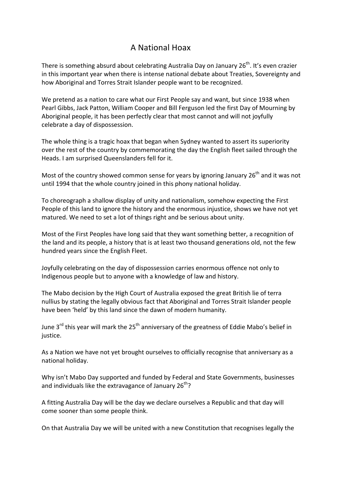## A National Hoax

There is something absurd about celebrating Australia Day on January 26<sup>th</sup>. It's even crazier in this important year when there is intense national debate about Treaties, Sovereignty and how Aboriginal and Torres Strait Islander people want to be recognized.

We pretend as a nation to care what our First People say and want, but since 1938 when Pearl Gibbs, Jack Patton, William Cooper and Bill Ferguson led the first Day of Mourning by Aboriginal people, it has been perfectly clear that most cannot and will not joyfully celebrate a day of dispossession.

The whole thing is a tragic hoax that began when Sydney wanted to assert its superiority over the rest of the country by commemorating the day the English fleet sailed through the Heads. I am surprised Queenslanders fell for it.

Most of the country showed common sense for years by ignoring January  $26<sup>th</sup>$  and it was not until 1994 that the whole country joined in this phony national holiday.

To choreograph a shallow display of unity and nationalism, somehow expecting the First People of this land to ignore the history and the enormous injustice, shows we have not yet matured. We need to set a lot of things right and be serious about unity.

Most of the First Peoples have long said that they want something better, a recognition of the land and its people, a history that is at least two thousand generations old, not the few hundred years since the English Fleet.

Joyfully celebrating on the day of dispossession carries enormous offence not only to Indigenous people but to anyone with a knowledge of law and history.

The Mabo decision by the High Court of Australia exposed the great British lie of terra nullius by stating the legally obvious fact that Aboriginal and Torres Strait Islander people have been 'held' by this land since the dawn of modern humanity.

June 3<sup>rd</sup> this year will mark the 25<sup>th</sup> anniversary of the greatness of Eddie Mabo's belief in justice. 

As a Nation we have not yet brought ourselves to officially recognise that anniversary as a national holiday.

Why isn't Mabo Day supported and funded by Federal and State Governments, businesses and individuals like the extravagance of January  $26<sup>th</sup>$ ?

A fitting Australia Day will be the day we declare ourselves a Republic and that day will come sooner than some people think.

On that Australia Day we will be united with a new Constitution that recognises legally the